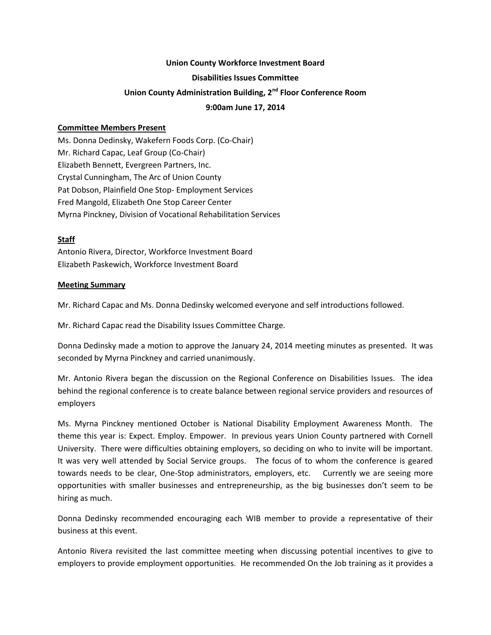### **Union County Workforce Investment Board**

#### **Disabilities Issues Committee**

# **Union County Administration Building, 2nd Floor Conference Room**

### **9:00am June 17, 2014**

### **Committee Members Present**

Ms. Donna Dedinsky, Wakefern Foods Corp. (Co-Chair) Mr. Richard Capac, Leaf Group (Co-Chair) Elizabeth Bennett, Evergreen Partners, Inc. Crystal Cunningham, The Arc of Union County Pat Dobson, Plainfield One Stop- Employment Services Fred Mangold, Elizabeth One Stop Career Center Myrna Pinckney, Division of Vocational Rehabilitation Services

## **Staff**

Antonio Rivera, Director, Workforce Investment Board Elizabeth Paskewich, Workforce Investment Board

### **Meeting Summary**

Mr. Richard Capac and Ms. Donna Dedinsky welcomed everyone and self introductions followed.

Mr. Richard Capac read the Disability Issues Committee Charge.

Donna Dedinsky made a motion to approve the January 24, 2014 meeting minutes as presented. It was seconded by Myrna Pinckney and carried unanimously.

Mr. Antonio Rivera began the discussion on the Regional Conference on Disabilities Issues. The idea behind the regional conference is to create balance between regional service providers and resources of employers

Ms. Myrna Pinckney mentioned October is National Disability Employment Awareness Month. The theme this year is: Expect. Employ. Empower. In previous years Union County partnered with Cornell University. There were difficulties obtaining employers, so deciding on who to invite will be important. It was very well attended by Social Service groups. The focus of to whom the conference is geared towards needs to be clear, One-Stop administrators, employers, etc. Currently we are seeing more opportunities with smaller businesses and entrepreneurship, as the big businesses don't seem to be hiring as much.

Donna Dedinsky recommended encouraging each WIB member to provide a representative of their business at this event.

Antonio Rivera revisited the last committee meeting when discussing potential incentives to give to employers to provide employment opportunities. He recommended On the Job training as it provides a